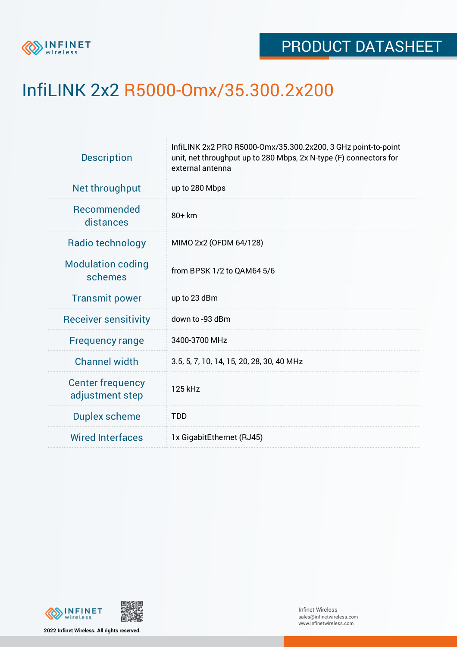

## InfiLINK 2x2 R5000-Omx/35.300.2x200

| InfiLINK 2x2 PRO R5000-Omx/35.300.2x200, 3 GHz point-to-point<br>unit, net throughput up to 280 Mbps, 2x N-type (F) connectors for<br>external antenna |  |  |  |
|--------------------------------------------------------------------------------------------------------------------------------------------------------|--|--|--|
| up to 280 Mbps                                                                                                                                         |  |  |  |
| 80+ km                                                                                                                                                 |  |  |  |
| MIMO 2x2 (OFDM 64/128)                                                                                                                                 |  |  |  |
| from BPSK 1/2 to QAM64 5/6                                                                                                                             |  |  |  |
| up to 23 dBm                                                                                                                                           |  |  |  |
| down to -93 dBm                                                                                                                                        |  |  |  |
| 3400-3700 MHz                                                                                                                                          |  |  |  |
| 3.5, 5, 7, 10, 14, 15, 20, 28, 30, 40 MHz                                                                                                              |  |  |  |
| 125 kHz                                                                                                                                                |  |  |  |
| <b>TDD</b>                                                                                                                                             |  |  |  |
| 1x GigabitEthernet (RJ45)                                                                                                                              |  |  |  |
|                                                                                                                                                        |  |  |  |



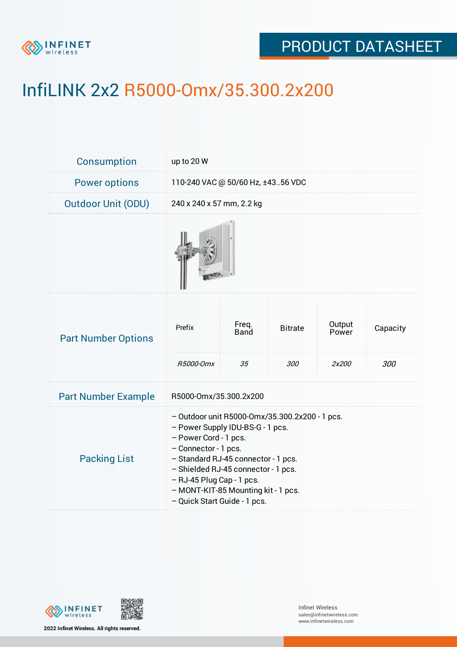

## PRODUCT DATASHEET

# InfiLINK 2x2 R5000-Omx/35.300.2x200

| Consumption                | up to 20 W                                                                                                                                                                                                                                                                                                            |                     |                       |                          |                 |
|----------------------------|-----------------------------------------------------------------------------------------------------------------------------------------------------------------------------------------------------------------------------------------------------------------------------------------------------------------------|---------------------|-----------------------|--------------------------|-----------------|
| <b>Power options</b>       | 110-240 VAC @ 50/60 Hz, ±4356 VDC                                                                                                                                                                                                                                                                                     |                     |                       |                          |                 |
| <b>Outdoor Unit (ODU)</b>  | 240 x 240 x 57 mm, 2.2 kg                                                                                                                                                                                                                                                                                             |                     |                       |                          |                 |
|                            |                                                                                                                                                                                                                                                                                                                       |                     |                       |                          |                 |
| <b>Part Number Options</b> | Prefix<br>R5000-Omx                                                                                                                                                                                                                                                                                                   | Freq.<br>Band<br>35 | <b>Bitrate</b><br>300 | Output<br>Power<br>2x200 | Capacity<br>300 |
| <b>Part Number Example</b> | R5000-Omx/35.300.2x200                                                                                                                                                                                                                                                                                                |                     |                       |                          |                 |
| <b>Packing List</b>        | - Outdoor unit R5000-Omx/35.300.2x200 - 1 pcs.<br>- Power Supply IDU-BS-G - 1 pcs.<br>- Power Cord - 1 pcs.<br>- Connector - 1 pcs.<br>- Standard RJ-45 connector - 1 pcs.<br>- Shielded RJ-45 connector - 1 pcs.<br>- RJ-45 Plug Cap - 1 pcs.<br>- MONT-KIT-85 Mounting kit - 1 pcs.<br>- Quick Start Guide - 1 pcs. |                     |                       |                          |                 |



**2022 Infinet Wireless. All rights reserved.**

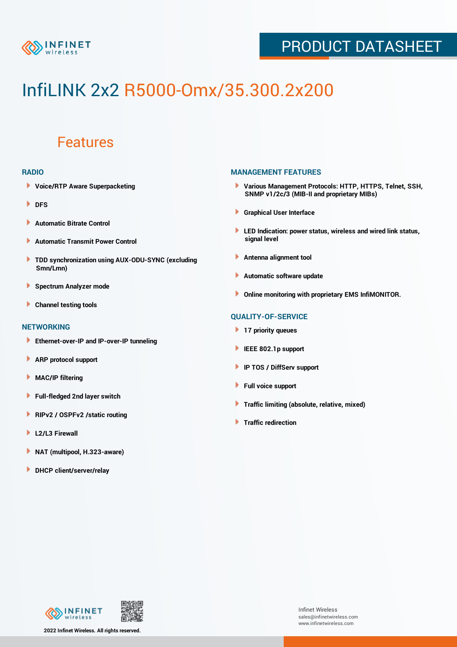

## PRODUCT DATASHEET

# InfiLINK 2x2 R5000-Omx/35.300.2x200

### Features

#### **RADIO**

- **Voice/RTP Aware Superpacketing**
- **DFS**
- **Automatic Bitrate Control** Þ
- Þ **Automatic Transmit Power Control**
- ь **TDD synchronization using AUX-ODU-SYNC (excluding Smn/Lmn)**
- **Spectrum Analyzer mode** ۰
- **Channel testing tools** ١

#### **NETWORKING**

- **Ethernet-over-IP and IP-over-IP tunneling**
- Þ **ARP protocol support**
- ۱ **MAC/IP filtering**
- Þ **Full-fledged 2nd layer switch**
- Þ **RIPv2 / OSPFv2 /static routing**
- **L2/L3 Firewall** Þ
- **NAT (multipool, H.323-aware)** Þ
- Þ **DHCP client/server/relay**

#### **MANAGEMENT FEATURES**

- **Various Management Protocols: HTTP, HTTPS, Telnet, SSH, SNMP v1/2c/3 (MIB-II and proprietary MIBs)**
- **Graphical User Interface**
- **LED Indication: power status, wireless and wired link status, signal level**
- **Antenna alignment tool**
- ٠ **Automatic software update**
- **Online monitoring with proprietary EMS InfiMONITOR.**

#### **QUALITY-OF-SERVICE**

- **17 priority queues**
- **IEEE 802.1p support**
- **IP TOS / DiffServ support**
- ٠ **Full voice support**
- **Traffic limiting (absolute, relative, mixed)** ٠
- **Traffic redirection**